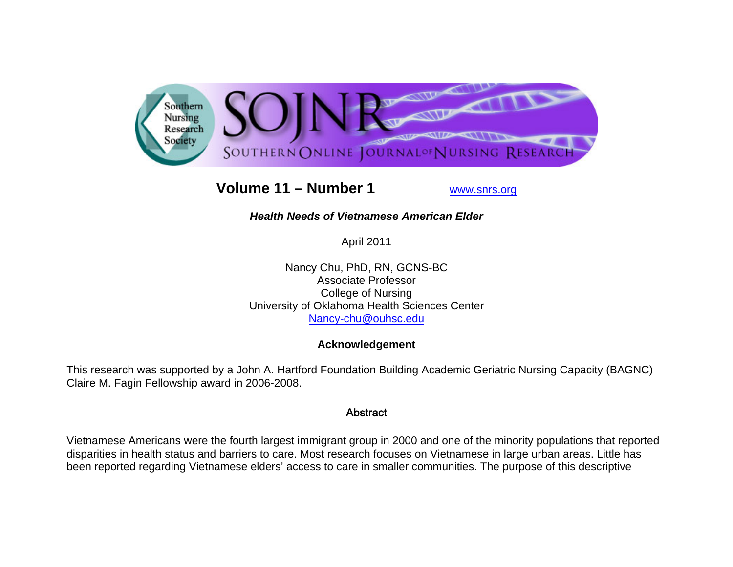

# **Volume 11 – Number 1**

www.snrs.org

# *Health Needs of Vietnamese American Elder*

April 2011

Nancy Chu, PhD, RN, GCNS-BC Associate Professor College of Nursing University of Oklahoma Health Sciences Center Nancy-chu@ouhsc.edu

# **Acknowledgement**

This research was supported by a John A. Hartford Foundation Building Academic Geriatric Nursing Capacity (BAGNC) Claire M. Fagin Fellowship award in 2006-2008.

# Abstract

Vietnamese Americans were the fourth largest immigrant group in 2000 and one of the minority populations that reported disparities in health status and barriers to care. Most research focuses on Vietnamese in large urban areas. Little has been reported regarding Vietnamese elders' access to care in smaller communities. The purpose of this descriptive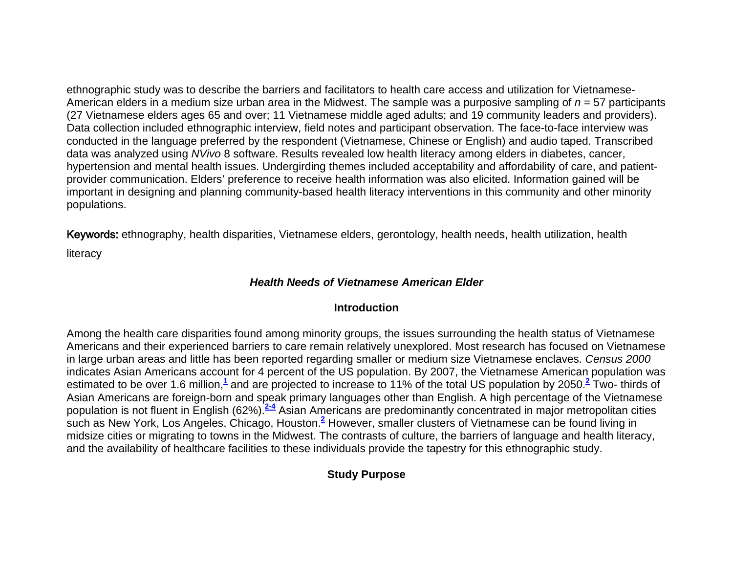ethnographic study was to describe the barriers and facilitators to health care access and utilization for Vietnamese-American elders in a medium size urban area in the Midwest. The sample was a purposive sampling of *n* = 57 participants (27 Vietnamese elders ages 65 and over; 11 Vietnamese middle aged adults; and 19 community leaders and providers). Data collection included ethnographic interview, field notes and participant observation. The face-to-face interview was conducted in the language preferred by the respondent (Vietnamese, Chinese or English) and audio taped. Transcribed data was analyzed using *NVivo* 8 software. Results revealed low health literacy among elders in diabetes, cancer, hypertension and mental health issues. Undergirding themes included acceptability and affordability of care, and patientprovider communication. Elders' preference to receive health information was also elicited. Information gained will be important in designing and planning community-based health literacy interventions in this community and other minority populations.

Keywords: ethnography, health disparities, Vietnamese elders, gerontology, health needs, health utilization, health literacy

*Health Needs of Vietnamese American Elder* 

#### **Introduction**

Among the health care disparities found among minority groups, the issues surrounding the health status of Vietnamese Americans and their experienced barriers to care remain relatively unexplored. Most research has focused on Vietnamese in large urban areas and little has been reported regarding smaller or medium size Vietnamese enclaves. *Census 2000* indicates Asian Americans account for 4 percent of the US population. By 2007, the Vietnamese American population was estimated to be over 1.6 million,**<sup>1</sup>** and are projected to increase to 11% of the total US population by 2050.**<sup>2</sup>** Two- thirds of Asian Americans are foreign-born and speak primary languages other than English. A high percentage of the Vietnamese population is not fluent in English (62%).**2-4** Asian Americans are predominantly concentrated in major metropolitan cities such as New York, Los Angeles, Chicago, Houston.**<sup>2</sup>** However, smaller clusters of Vietnamese can be found living in midsize cities or migrating to towns in the Midwest. The contrasts of culture, the barriers of language and health literacy, and the availability of healthcare facilities to these individuals provide the tapestry for this ethnographic study.

# **Study Purpose**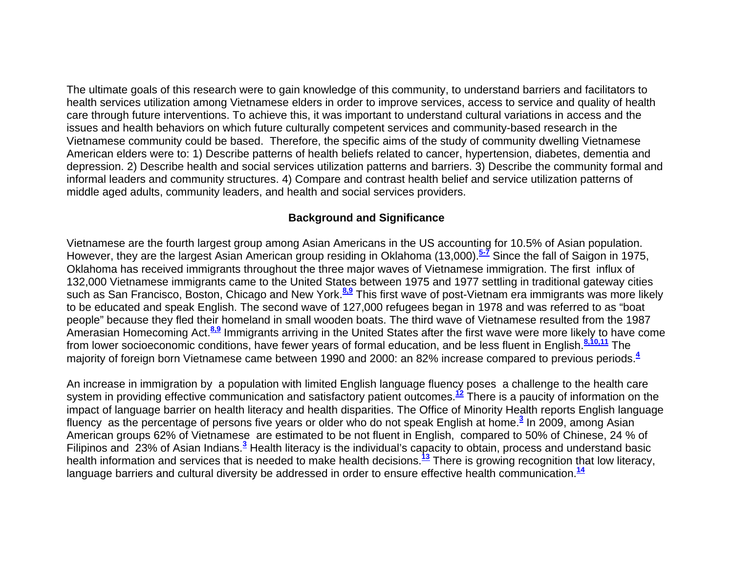The ultimate goals of this research were to gain knowledge of this community, to understand barriers and facilitators to health services utilization among Vietnamese elders in order to improve services, access to service and quality of health care through future interventions. To achieve this, it was important to understand cultural variations in access and the issues and health behaviors on which future culturally competent services and community-based research in the Vietnamese community could be based. Therefore, the specific aims of the study of community dwelling Vietnamese American elders were to: 1) Describe patterns of health beliefs related to cancer, hypertension, diabetes, dementia and depression. 2) Describe health and social services utilization patterns and barriers. 3) Describe the community formal and informal leaders and community structures. 4) Compare and contrast health belief and service utilization patterns of middle aged adults, community leaders, and health and social services providers.

## **Background and Significance**

Vietnamese are the fourth largest group among Asian Americans in the US accounting for 10.5% of Asian population. However, they are the largest Asian American group residing in Oklahoma (13,000).**5-7** Since the fall of Saigon in 1975, Oklahoma has received immigrants throughout the three major waves of Vietnamese immigration. The first influx of 132,000 Vietnamese immigrants came to the United States between 1975 and 1977 settling in traditional gateway cities such as San Francisco, Boston, Chicago and New York.**8,9** This first wave of post-Vietnam era immigrants was more likely to be educated and speak English. The second wave of 127,000 refugees began in 1978 and was referred to as "boat people" because they fled their homeland in small wooden boats. The third wave of Vietnamese resulted from the 1987 Amerasian Homecoming Act.**8,9** Immigrants arriving in the United States after the first wave were more likely to have come from lower socioeconomic conditions, have fewer years of formal education, and be less fluent in English.**8,10,11** The majority of foreign born Vietnamese came between 1990 and 2000: an 82% increase compared to previous periods.**<sup>4</sup>**

An increase in immigration by a population with limited English language fluency poses a challenge to the health care system in providing effective communication and satisfactory patient outcomes.**<sup>12</sup>** There is a paucity of information on the impact of language barrier on health literacy and health disparities. The Office of Minority Health reports English language fluency as the percentage of persons five years or older who do not speak English at home.**<sup>3</sup>** In 2009, among Asian American groups 62% of Vietnamese are estimated to be not fluent in English, compared to 50% of Chinese, 24 % of Filipinos and 23% of Asian Indians.**<sup>3</sup>** Health literacy is the individual's capacity to obtain, process and understand basic health information and services that is needed to make health decisions.**<sup>13</sup>** There is growing recognition that low literacy, language barriers and cultural diversity be addressed in order to ensure effective health communication.**<sup>14</sup>**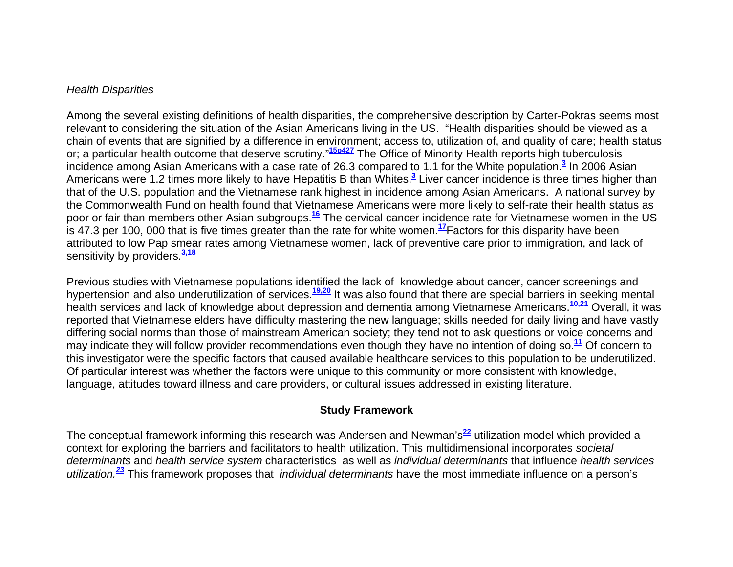#### *Health Disparities*

Among the several existing definitions of health disparities, the comprehensive description by Carter-Pokras seems most relevant to considering the situation of the Asian Americans living in the US. "Health disparities should be viewed as a chain of events that are signified by a difference in environment; access to, utilization of, and quality of care; health status or; a particular health outcome that deserve scrutiny."**15p427** The Office of Minority Health reports high tuberculosis incidence among Asian Americans with a case rate of 26.3 compared to 1.1 for the White population.**<sup>3</sup>** In 2006 Asian Americans were 1.2 times more likely to have Hepatitis B than Whites.**<sup>3</sup>** Liver cancer incidence is three times higher than that of the U.S. population and the Vietnamese rank highest in incidence among Asian Americans. A national survey by the Commonwealth Fund on health found that Vietnamese Americans were more likely to self-rate their health status as poor or fair than members other Asian subgroups.**<sup>16</sup>** The cervical cancer incidence rate for Vietnamese women in the US is 47.3 per 100, 000 that is five times greater than the rate for white women.**<sup>17</sup>**Factors for this disparity have been attributed to low Pap smear rates among Vietnamese women, lack of preventive care prior to immigration, and lack of sensitivity by providers.**3,18**

Previous studies with Vietnamese populations identified the lack of knowledge about cancer, cancer screenings and hypertension and also underutilization of services.**19,20** It was also found that there are special barriers in seeking mental health services and lack of knowledge about depression and dementia among Vietnamese Americans.**10,21** Overall, it was reported that Vietnamese elders have difficulty mastering the new language; skills needed for daily living and have vastly differing social norms than those of mainstream American society; they tend not to ask questions or voice concerns and may indicate they will follow provider recommendations even though they have no intention of doing so.**<sup>11</sup>** Of concern to this investigator were the specific factors that caused available healthcare services to this population to be underutilized. Of particular interest was whether the factors were unique to this community or more consistent with knowledge, language, attitudes toward illness and care providers, or cultural issues addressed in existing literature.

#### **Study Framework**

The conceptual framework informing this research was Andersen and Newman's**<sup>22</sup>** utilization model which provided a context for exploring the barriers and facilitators to health utilization. This multidimensional incorporates *societal determinants* and *health service system* characteristics as well as *individual determinants* that influence *health services utilization.<sup>23</sup>* This framework proposes that *individual determinants* have the most immediate influence on a person's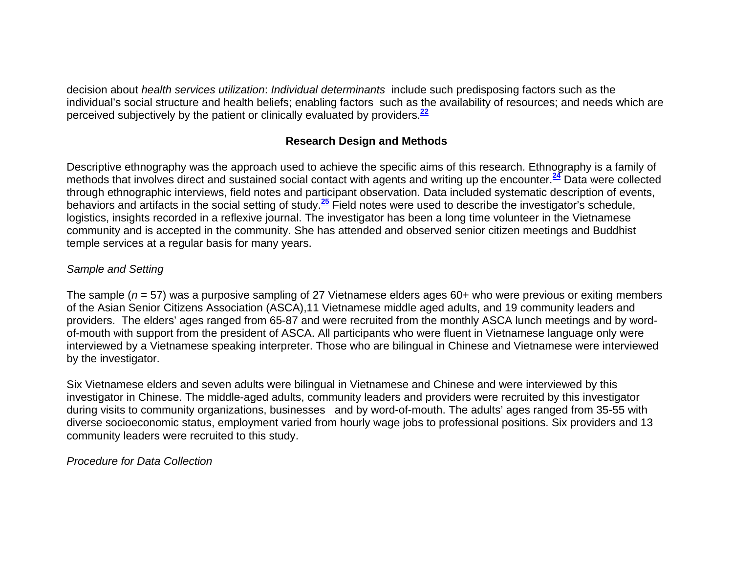decision about *health services utilization*: *Individual determinants* include such predisposing factors such as the individual's social structure and health beliefs; enabling factors such as the availability of resources; and needs which are perceived subjectively by the patient or clinically evaluated by providers.**<sup>22</sup>**

# **Research Design and Methods**

Descriptive ethnography was the approach used to achieve the specific aims of this research. Ethnography is a family of methods that involves direct and sustained social contact with agents and writing up the encounter.**<sup>24</sup>** Data were collected through ethnographic interviews, field notes and participant observation. Data included systematic description of events, behaviors and artifacts in the social setting of study.**<sup>25</sup>** Field notes were used to describe the investigator's schedule, logistics, insights recorded in a reflexive journal. The investigator has been a long time volunteer in the Vietnamese community and is accepted in the community. She has attended and observed senior citizen meetings and Buddhist temple services at a regular basis for many years.

#### *Sample and Setting*

The sample (*<sup>n</sup>* = 57) was a purposive sampling of 27 Vietnamese elders ages 60+ who were previous or exiting members of the Asian Senior Citizens Association (ASCA),11 Vietnamese middle aged adults, and 19 community leaders and providers. The elders' ages ranged from 65-87 and were recruited from the monthly ASCA lunch meetings and by wordof-mouth with support from the president of ASCA. All participants who were fluent in Vietnamese language only were interviewed by a Vietnamese speaking interpreter. Those who are bilingual in Chinese and Vietnamese were interviewed by the investigator.

Six Vietnamese elders and seven adults were bilingual in Vietnamese and Chinese and were interviewed by this investigator in Chinese. The middle-aged adults, community leaders and providers were recruited by this investigator during visits to community organizations, businesses and by word-of-mouth. The adults' ages ranged from 35-55 with diverse socioeconomic status, employment varied from hourly wage jobs to professional positions. Six providers and 13 community leaders were recruited to this study.

*Procedure for Data Collection*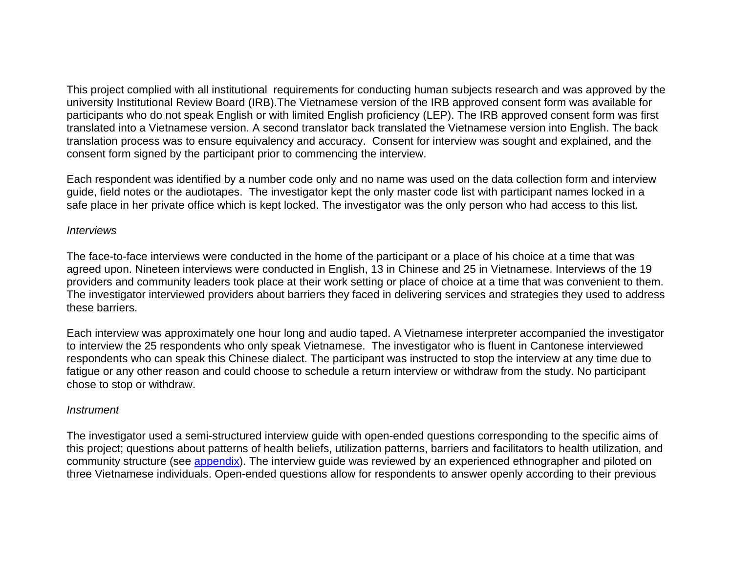This project complied with all institutional requirements for conducting human subjects research and was approved by the university Institutional Review Board (IRB).The Vietnamese version of the IRB approved consent form was available for participants who do not speak English or with limited English proficiency (LEP). The IRB approved consent form was first translated into a Vietnamese version. A second translator back translated the Vietnamese version into English. The back translation process was to ensure equivalency and accuracy. Consent for interview was sought and explained, and the consent form signed by the participant prior to commencing the interview.

Each respondent was identified by a number code only and no name was used on the data collection form and interview guide, field notes or the audiotapes. The investigator kept the only master code list with participant names locked in a safe place in her private office which is kept locked. The investigator was the only person who had access to this list.

#### *Interviews*

The face-to-face interviews were conducted in the home of the participant or a place of his choice at a time that was agreed upon. Nineteen interviews were conducted in English, 13 in Chinese and 25 in Vietnamese. Interviews of the 19 providers and community leaders took place at their work setting or place of choice at a time that was convenient to them. The investigator interviewed providers about barriers they faced in delivering services and strategies they used to address these barriers.

Each interview was approximately one hour long and audio taped. A Vietnamese interpreter accompanied the investigator to interview the 25 respondents who only speak Vietnamese. The investigator who is fluent in Cantonese interviewed respondents who can speak this Chinese dialect. The participant was instructed to stop the interview at any time due to fatigue or any other reason and could choose to schedule a return interview or withdraw from the study. No participant chose to stop or withdraw.

#### *Instrument*

The investigator used a semi-structured interview guide with open-ended questions corresponding to the specific aims of this project; questions about patterns of health beliefs, utilization patterns, barriers and facilitators to health utilization, and community structure (see appendix). The interview guide was reviewed by an experienced ethnographer and piloted on three Vietnamese individuals. Open-ended questions allow for respondents to answer openly according to their previous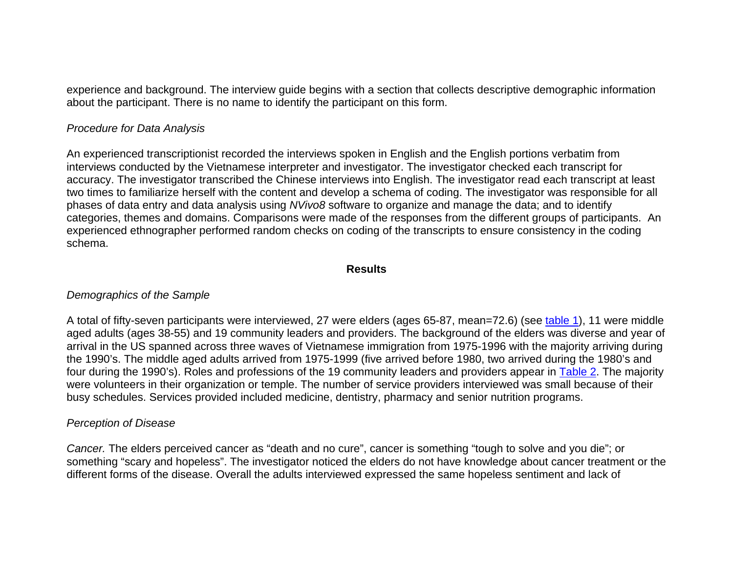experience and background. The interview guide begins with a section that collects descriptive demographic information about the participant. There is no name to identify the participant on this form.

#### *Procedure for Data Analysis*

An experienced transcriptionist recorded the interviews spoken in English and the English portions verbatim from interviews conducted by the Vietnamese interpreter and investigator. The investigator checked each transcript for accuracy. The investigator transcribed the Chinese interviews into English. The investigator read each transcript at least two times to familiarize herself with the content and develop a schema of coding. The investigator was responsible for all phases of data entry and data analysis using *NVivo8* software to organize and manage the data; and to identify categories, themes and domains. Comparisons were made of the responses from the different groups of participants. An experienced ethnographer performed random checks on coding of the transcripts to ensure consistency in the coding schema.

#### **Results**

#### *Demographics of the Sample*

A total of fifty-seven participants were interviewed, 27 were elders (ages 65-87, mean=72.6) (see table 1), 11 were middle aged adults (ages 38-55) and 19 community leaders and providers. The background of the elders was diverse and year of arrival in the US spanned across three waves of Vietnamese immigration from 1975-1996 with the majority arriving during the 1990's. The middle aged adults arrived from 1975-1999 (five arrived before 1980, two arrived during the 1980's and four during the 1990's). Roles and professions of the 19 community leaders and providers appear in Table 2. The majority were volunteers in their organization or temple. The number of service providers interviewed was small because of their busy schedules. Services provided included medicine, dentistry, pharmacy and senior nutrition programs.

#### *Perception of Disease*

*Cancer.* The elders perceived cancer as "death and no cure", cancer is something "tough to solve and you die"; or something "scary and hopeless". The investigator noticed the elders do not have knowledge about cancer treatment or the different forms of the disease. Overall the adults interviewed expressed the same hopeless sentiment and lack of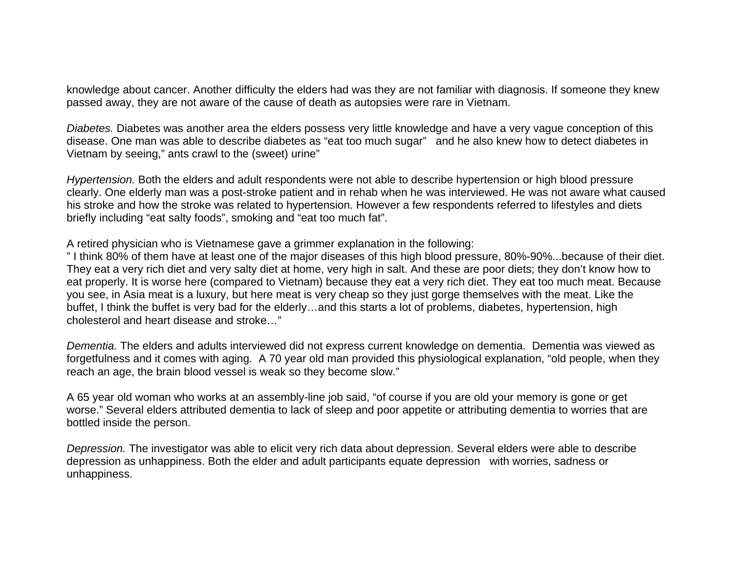knowledge about cancer. Another difficulty the elders had was they are not familiar with diagnosis. If someone they knew passed away, they are not aware of the cause of death as autopsies were rare in Vietnam.

*Diabetes.* Diabetes was another area the elders possess very little knowledge and have a very vague conception of this disease. One man was able to describe diabetes as "eat too much sugar" and he also knew how to detect diabetes in Vietnam by seeing," ants crawl to the (sweet) urine"

*Hypertension.* Both the elders and adult respondents were not able to describe hypertension or high blood pressure clearly. One elderly man was a post-stroke patient and in rehab when he was interviewed. He was not aware what caused his stroke and how the stroke was related to hypertension. However a few respondents referred to lifestyles and diets briefly including "eat salty foods", smoking and "eat too much fat".

#### A retired physician who is Vietnamese gave a grimmer explanation in the following:

" I think 80% of them have at least one of the major diseases of this high blood pressure, 80%-90%...because of their diet. They eat a very rich diet and very salty diet at home, very high in salt. And these are poor diets; they don't know how to eat properly. It is worse here (compared to Vietnam) because they eat a very rich diet. They eat too much meat. Because you see, in Asia meat is a luxury, but here meat is very cheap so they just gorge themselves with the meat. Like the buffet, I think the buffet is very bad for the elderly…and this starts a lot of problems, diabetes, hypertension, high cholesterol and heart disease and stroke…"

*Dementia.* The elders and adults interviewed did not express current knowledge on dementia. Dementia was viewed as forgetfulness and it comes with aging. A 70 year old man provided this physiological explanation, "old people, when they reach an age, the brain blood vessel is weak so they become slow."

A 65 year old woman who works at an assembly-line job said, "of course if you are old your memory is gone or get worse." Several elders attributed dementia to lack of sleep and poor appetite or attributing dementia to worries that are bottled inside the person.

*Depression.* The investigator was able to elicit very rich data about depression. Several elders were able to describe depression as unhappiness. Both the elder and adult participants equate depression with worries, sadness or unhappiness.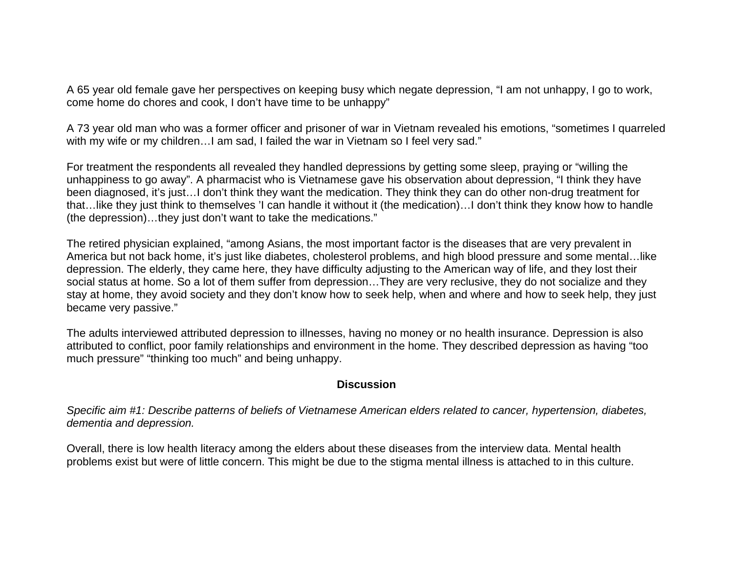A 65 year old female gave her perspectives on keeping busy which negate depression, "I am not unhappy, I go to work, come home do chores and cook, I don't have time to be unhappy"

A 73 year old man who was a former officer and prisoner of war in Vietnam revealed his emotions, "sometimes I quarreled with my wife or my children... I am sad, I failed the war in Vietnam so I feel very sad."

For treatment the respondents all revealed they handled depressions by getting some sleep, praying or "willing the unhappiness to go away". A pharmacist who is Vietnamese gave his observation about depression, "I think they have been diagnosed, it's just…I don't think they want the medication. They think they can do other non-drug treatment for that…like they just think to themselves 'I can handle it without it (the medication)…I don't think they know how to handle (the depression)…they just don't want to take the medications."

The retired physician explained, "among Asians, the most important factor is the diseases that are very prevalent in America but not back home, it's just like diabetes, cholesterol problems, and high blood pressure and some mental…like depression. The elderly, they came here, they have difficulty adjusting to the American way of life, and they lost their social status at home. So a lot of them suffer from depression…They are very reclusive, they do not socialize and they stay at home, they avoid society and they don't know how to seek help, when and where and how to seek help, they just became very passive."

The adults interviewed attributed depression to illnesses, having no money or no health insurance. Depression is also attributed to conflict, poor family relationships and environment in the home. They described depression as having "too much pressure" "thinking too much" and being unhappy.

#### **Discussion**

*Specific aim #1: Describe patterns of beliefs of Vietnamese American elders related to cancer, hypertension, diabetes, dementia and depression.*

Overall, there is low health literacy among the elders about these diseases from the interview data. Mental health problems exist but were of little concern. This might be due to the stigma mental illness is attached to in this culture.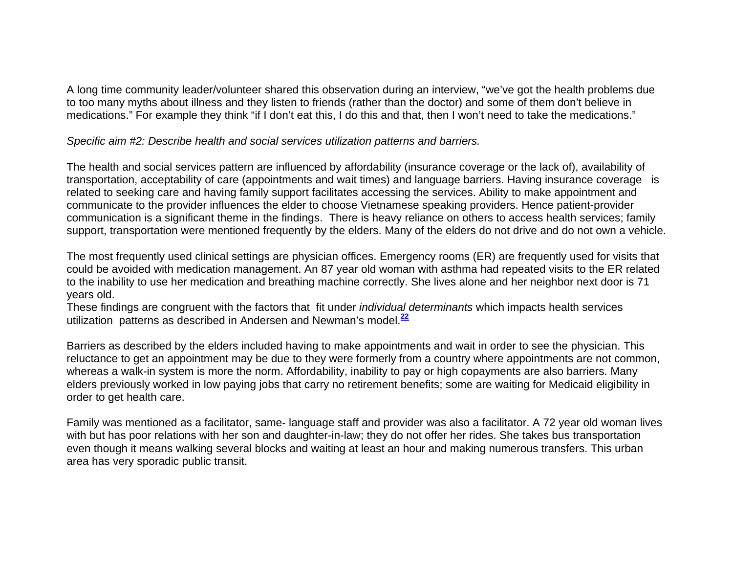A long time community leader/volunteer shared this observation during an interview, "we've got the health problems due to too many myths about illness and they listen to friends (rather than the doctor) and some of them don't believe in medications." For example they think "if I don't eat this, I do this and that, then I won't need to take the medications."

*Specific aim #2: Describe health and social services utilization patterns and barriers.*

The health and social services pattern are influenced by affordability (insurance coverage or the lack of), availability of transportation, acceptability of care (appointments and wait times) and language barriers. Having insurance coverage is related to seeking care and having family support facilitates accessing the services. Ability to make appointment and communicate to the provider influences the elder to choose Vietnamese speaking providers. Hence patient-provider communication is a significant theme in the findings. There is heavy reliance on others to access health services; family support, transportation were mentioned frequently by the elders. Many of the elders do not drive and do not own a vehicle.

The most frequently used clinical settings are physician offices. Emergency rooms (ER) are frequently used for visits that could be avoided with medication management. An 87 year old woman with asthma had repeated visits to the ER related to the inability to use her medication and breathing machine correctly. She lives alone and her neighbor next door is 71 years old.

These findings are congruent with the factors that fit under *individual determinants* which impacts health services utilization patterns as described in Andersen and Newman's model.**<sup>22</sup>**

Barriers as described by the elders included having to make appointments and wait in order to see the physician. This reluctance to get an appointment may be due to they were formerly from a country where appointments are not common, whereas a walk-in system is more the norm. Affordability, inability to pay or high copayments are also barriers. Many elders previously worked in low paying jobs that carry no retirement benefits; some are waiting for Medicaid eligibility in order to get health care.

Family was mentioned as a facilitator, same- language staff and provider was also a facilitator. A 72 year old woman lives with but has poor relations with her son and daughter-in-law; they do not offer her rides. She takes bus transportation even though it means walking several blocks and waiting at least an hour and making numerous transfers. This urban area has very sporadic public transit.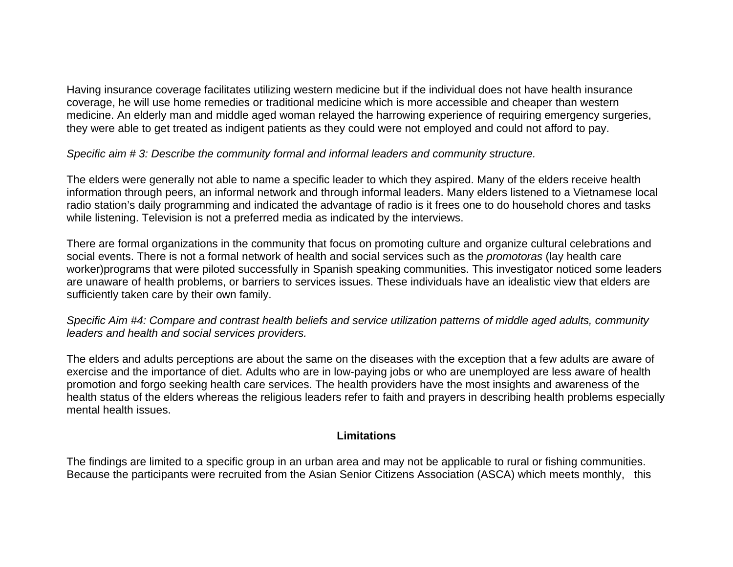Having insurance coverage facilitates utilizing western medicine but if the individual does not have health insurance coverage, he will use home remedies or traditional medicine which is more accessible and cheaper than western medicine. An elderly man and middle aged woman relayed the harrowing experience of requiring emergency surgeries, they were able to get treated as indigent patients as they could were not employed and could not afford to pay.

# *Specific aim # 3: Describe the community formal and informal leaders and community structure.*

The elders were generally not able to name a specific leader to which they aspired. Many of the elders receive health information through peers, an informal network and through informal leaders. Many elders listened to a Vietnamese local radio station's daily programming and indicated the advantage of radio is it frees one to do household chores and tasks while listening. Television is not a preferred media as indicated by the interviews.

There are formal organizations in the community that focus on promoting culture and organize cultural celebrations and social events. There is not a formal network of health and social services such as the *promotoras* (lay health care worker)programs that were piloted successfully in Spanish speaking communities. This investigator noticed some leaders are unaware of health problems, or barriers to services issues. These individuals have an idealistic view that elders are sufficiently taken care by their own family.

*Specific Aim #4: Compare and contrast health beliefs and service utilization patterns of middle aged adults, community leaders and health and social services providers.* 

The elders and adults perceptions are about the same on the diseases with the exception that a few adults are aware of exercise and the importance of diet. Adults who are in low-paying jobs or who are unemployed are less aware of health promotion and forgo seeking health care services. The health providers have the most insights and awareness of the health status of the elders whereas the religious leaders refer to faith and prayers in describing health problems especially mental health issues.

#### **Limitations**

The findings are limited to a specific group in an urban area and may not be applicable to rural or fishing communities. Because the participants were recruited from the Asian Senior Citizens Association (ASCA) which meets monthly, this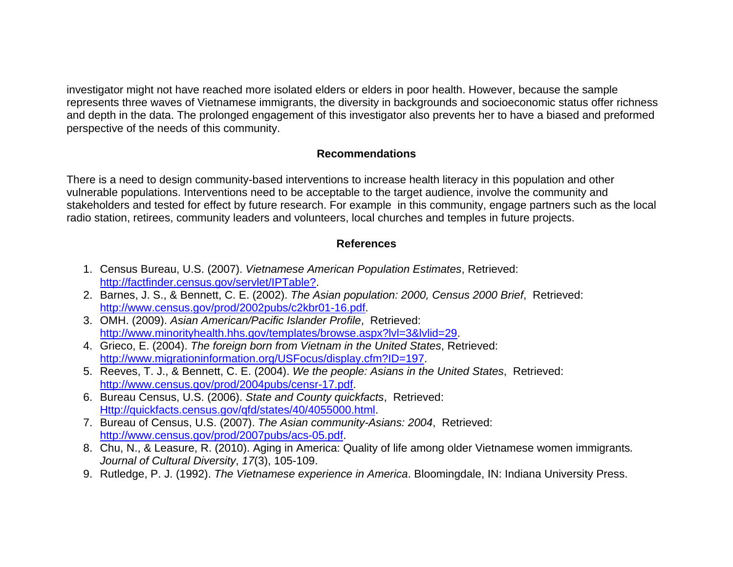investigator might not have reached more isolated elders or elders in poor health. However, because the sample represents three waves of Vietnamese immigrants, the diversity in backgrounds and socioeconomic status offer richness and depth in the data. The prolonged engagement of this investigator also prevents her to have a biased and preformed perspective of the needs of this community.

## **Recommendations**

There is a need to design community-based interventions to increase health literacy in this population and other vulnerable populations. Interventions need to be acceptable to the target audience, involve the community and stakeholders and tested for effect by future research. For example in this community, engage partners such as the local radio station, retirees, community leaders and volunteers, local churches and temples in future projects.

# **References**

- 1. Census Bureau, U.S. (2007). *Vietnamese American Population Estimates*, Retrieved: http://factfinder.census.gov/servlet/IPTable?.
- 2. Barnes, J. S., & Bennett, C. E. (2002). *The Asian population: 2000, Census 2000 Brief*, Retrieved: http://www.census.gov/prod/2002pubs/c2kbr01-16.pdf.
- 3. OMH. (2009). *Asian American/Pacific Islander Profile*, Retrieved: http://www.minorityhealth.hhs.gov/templates/browse.aspx?lvl=3&lvlid=29.
- 4. Grieco, E. (2004). *The foreign born from Vietnam in the United States*, Retrieved: http://www.migrationinformation.org/USFocus/display.cfm?ID=197.
- 5. Reeves, T. J., & Bennett, C. E. (2004). *We the people: Asians in the United States*, Retrieved: http://www.census.gov/prod/2004pubs/censr-17.pdf.
- 6. Bureau Census, U.S. (2006). *State and County quickfacts*, Retrieved: Http://quickfacts.census.gov/qfd/states/40/4055000.html.
- 7. Bureau of Census, U.S. (2007). *The Asian community-Asians: 2004*, Retrieved: http://www.census.gov/prod/2007pubs/acs-05.pdf.
- 8. Chu, N., & Leasure, R. (2010). Aging in America: Quality of life among older Vietnamese women immigrants*. Journal of Cultural Diversity*, *17*(3), 105-109.
- 9. Rutledge, P. J. (1992). *The Vietnamese experience in America*. Bloomingdale, IN: Indiana University Press.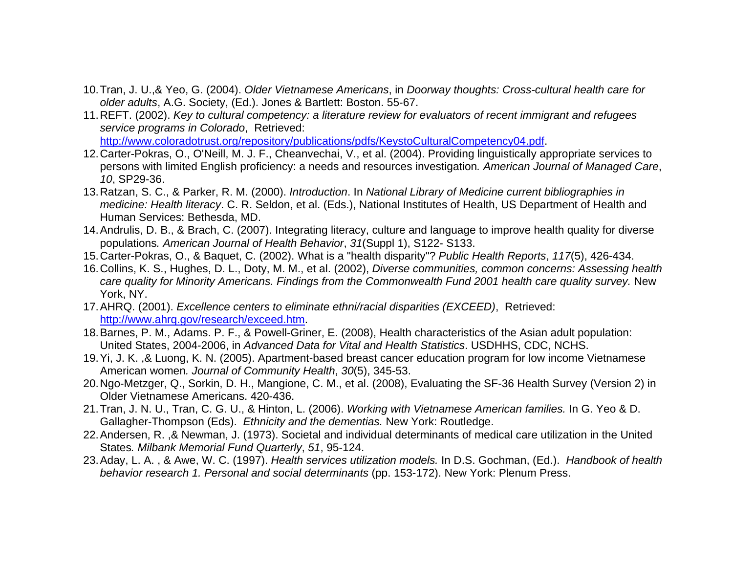- 10. Tran, J. U.,& Yeo, G. (2004). *Older Vietnamese Americans*, in *Doorway thoughts: Cross-cultural health care for older adults*, A.G. Society, (Ed.). Jones & Bartlett: Boston. 55-67.
- 11. REFT. (2002). *Key to cultural competency: a literature review for evaluators of recent immigrant and refugees service programs in Colorado*, Retrieved: http://www.coloradotrust.org/repository/publications/pdfs/KeystoCulturalCompetency04.pdf.
- 12. Carter-Pokras, O., O'Neill, M. J. F., Cheanvechai, V., et al. (2004). Providing linguistically appropriate services to persons with limited English proficiency: a needs and resources investigation*. American Journal of Managed Care*, *10*, SP29-36.
- 13. Ratzan, S. C., & Parker, R. M. (2000). *Introduction*. In *National Library of Medicine current bibliographies in medicine: Health literacy*. C. R. Seldon, et al. (Eds.), National Institutes of Health, US Department of Health and Human Services: Bethesda, MD.
- 14. Andrulis, D. B., & Brach, C. (2007). Integrating literacy, culture and language to improve health quality for diverse populations*. American Journal of Health Behavior*, *31*(Suppl 1), S122- S133.
- 15. Carter-Pokras, O., & Baquet, C. (2002). What is a "health disparity"? *Public Health Reports*, *117*(5), 426-434.
- 16. Collins, K. S., Hughes, D. L., Doty, M. M., et al. (2002), *Diverse communities, common concerns: Assessing health care quality for Minority Americans. Findings from the Commonwealth Fund 2001 health care quality survey.* New York, NY.
- 17. AHRQ. (2001). *Excellence centers to eliminate ethni/racial disparities (EXCEED)*, Retrieved: http://www.ahrq.gov/research/exceed.htm.
- 18. Barnes, P. M., Adams. P. F., & Powell-Griner, E. (2008), Health characteristics of the Asian adult population: United States, 2004-2006, in *Advanced Data for Vital and Health Statistics*. USDHHS, CDC, NCHS.
- 19. Yi, J. K. ,& Luong, K. N. (2005). Apartment-based breast cancer education program for low income Vietnamese American women*. Journal of Community Health*, *30*(5), 345-53.
- 20. Ngo-Metzger, Q., Sorkin, D. H., Mangione, C. M., et al. (2008), Evaluating the SF-36 Health Survey (Version 2) in Older Vietnamese Americans. 420-436.
- 21. Tran, J. N. U., Tran, C. G. U., & Hinton, L. (2006). *Working with Vietnamese American families.* In G. Yeo & D. Gallagher-Thompson (Eds). *Ethnicity and the dementias.* New York: Routledge.
- 22. Andersen, R. ,& Newman, J. (1973). Societal and individual determinants of medical care utilization in the United States*. Milbank Memorial Fund Quarterly*, *51*, 95-124.
- 23. Aday, L. A. , & Awe, W. C. (1997). *Health services utilization models.* In D.S. Gochman, (Ed.). *Handbook of health behavior research 1. Personal and social determinants* (pp. 153-172). New York: Plenum Press.